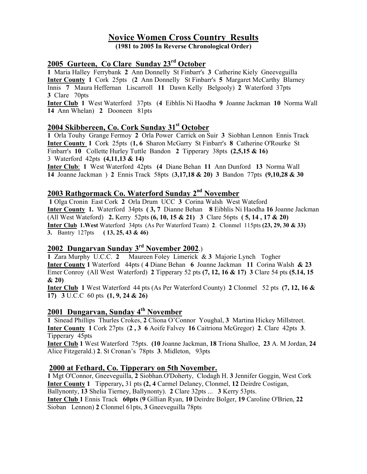# Novice Women Cross Country Results

(1981 to 2005 In Reverse Chronological Order)

# 2005 Gurteen, Co Clare Sunday 23rd October

1 Maria Halley Ferrybank 2 Ann Donnelly St Finbarr's 3 Catherine Kiely Gneeveguilla Inter County 1 Cork 25pts (2 Ann Donnelly St Finbarr's 5 Margaret McCarthy Blarney Innis 7 Maura Heffernan Liscarroll 11 Dawn Kelly Belgooly) 2 Waterford 37pts 3 Clare 70pts

Inter Club 1 West Waterford 37pts (4 Eibhlis Ni Haodha 9 Joanne Jackman 10 Norma Wall 14 Ann Whelan) 2 Dooneen 81pts

## 2004 Skibbereen, Co. Cork Sunday 31<sup>st</sup> October

1 Orla Touhy Grange Fermoy 2 Orla Power Carrick on Suir 3 Siobhan Lennon Ennis Track Inter County 1 Cork 25pts (1, 6 Sharon McGarry St Finbarr's 8 Catherine O'Rourke St Finbarr's 10 Collette Hurley Tuttle Bandon 2 Tipperary 38pts (2,5,15 & 16) 3 Waterford 42pts (4,11,13 & 14)

Inter Club: 1 West Waterford 42pts (4 Diane Behan 11 Ann Dunford 13 Norma Wall 14 Joanne Jackman ) 2 Ennis Track 58pts (3,17,18 & 20) 3 Bandon 77pts (9,10,28 & 30

# 2003 Rathgormack Co. Waterford Sunday 2<sup>nd</sup> November

 1 Olga Cronin East Cork 2 Orla Drum UCC 3 Corina Walsh West Wateford Inter County 1. Waterford 34pts ( 3, 7 Dianne Behan 8 Eibhlis Ni Haodha 16 Joanne Jackman (All West Wateford) 2. Kerry 52pts (6, 10, 15 & 21) 3 Clare 56pts ( 5, 14 , 17 & 20) Inter Club 1.West Waterford 34pts (As Per Waterford Team) 2. Clonmel 115pts (23, 29, 30 & 33) **3.** Bantry 127pts ( 13, 25, 43 & 46)

# 2002 Dungarvan Sunday 3rd November 2002.)

1 Zara Murphy U.C.C. 2 Maureen Foley Limerick & 3 Majorie Lynch Togher Inter County 1 Waterford 44pts ( 4 Diane Behan 6 Joanne Jackman 11 Corina Walsh & 23 Emer Conroy (All West Waterford) 2 Tipperary 52 pts (7, 12, 16 & 17) 3 Clare 54 pts (5.14, 15 & 20)

Inter Club 1 West Waterford 44 pts (As Per Waterford County) 2 Clonmel 52 pts (7, 12, 16 & 17) 3 U.C.C 60 pts (1, 9, 24 & 26)

# 2001 Dungarvan, Sunday 4<sup>th</sup> November

1 Sinead Phillips Thurles Crokes, 2 Cliona O'Connor Youghal, 3 Martina Hickey Millstreet. Inter County 1 Cork 27pts (2 , 3 6 Aoife Falvey 16 Caitriona McGregor) 2. Clare 42pts 3. Tipperary 45pts

Inter Club 1 West Waterford 75pts. (10 Joanne Jackman, 18 Triona Shalloe, 23 A. M Jordan, 24 Alice Fitzgerald.) 2. St Cronan's 78pts 3. Midleton, 93pts

### 2000 at Fethard, Co. Tipperary on 5th November.

1 Mgt O'Connor, Gneeveguilla, 2 Siobhan.O'Doherty, Clodagh H. 3 Jennifer Goggin, West Cork Inter County 1 Tipperary, 31 pts (2, 4 Carmel Delaney, Clonmel, 12 Deirdre Costigan, Ballynonty, 13 Shelia Tierney, Ballynonty). 2 Clare 32pts ... 3 Kerry 53pts. Inter Club 1 Ennis Track 60pts (9 Gillian Ryan, 10 Deirdre Bolger, 19 Caroline O'Brien, 22 Sioban Lennon) 2 Clonmel 61pts, 3 Gneeveguilla 78pts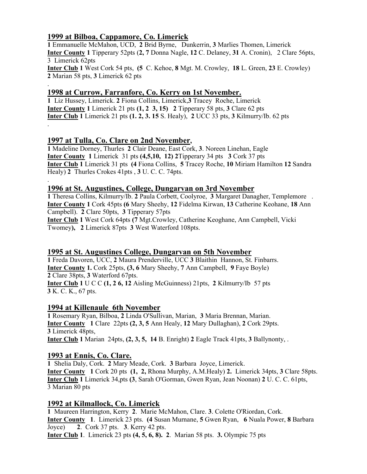## 1999 at Bilboa, Cappamore, Co. Limerick

.

.

1 Emmanuelle McMahon, UCD, 2 Brid Byrne, Dunkerrin, 3 Marlies Thomen, Limerick Inter County 1 Tipperary 52pts (2, 7 Donna Nagle, 12 C. Delaney, 31 A. Cronin), 2 Clare 56pts, 3 Limerick 62pts Inter Club 1 West Cork 54 pts, (5 C. Kehoe, 8 Mgt. M. Crowley, 18 L. Green, 23 E. Crowley) 2 Marian 58 pts, 3 Limerick 62 pts

## 1998 at Currow, Farranfore, Co. Kerry on 1st November.

1 Liz Hussey, Limerick. 2 Fiona Collins, Limerick,3 Tracey Roche, Limerick **Inter County 1** Limerick 21 pts  $(1, 2, 3, 15)$  2 Tipperary 58 pts, 3 Clare 62 pts Inter Club 1 Limerick 21 pts (1. 2, 3. 15 S. Healy), 2 UCC 33 pts, 3 Kilmurry/Ib. 62 pts .

## 1997 at Tulla, Co. Clare on 2nd November,

1 Madeline Dorney, Thurles 2 Clair Deane, East Cork, 3. Noreen Linehan, Eagle Inter County 1 Limerick 31 pts (4,5,10, 12) 2Tipperary 34 pts 3 Cork 37 pts Inter Club 1 Limerick 31 pts (4 Fiona Collins, 5 Tracey Roche, 10 Miriam Hamilton 12 Sandra Healy) 2 Thurles Crokes 41pts , 3 U. C. C. 74pts.

### 1996 at St. Augustines, College, Dungarvan on 3rd November

1 Theresa Collins, Kilmurry/Ib. 2 Paula Corbett, Coolyroe, 3 Margaret Danagher, Templemore . Inter County 1 Cork 45pts (6 Mary Sheehy, 12 Fidelma Kirwan, 13 Catherine Keohane, 18 Ann Campbell). 2 Clare 50pts, 3 Tipperary 57pts Inter Club 1 West Cork 64pts (7 Mgt.Crowley, Catherine Keoghane, Ann Campbell, Vicki

Twomey), 2 Limerick 87pts 3 West Waterford 108pts.

### 1995 at St. Augustines College, Dungarvan on 5th November

1 Freda Davoren, UCC, 2 Maura Prenderville, UCC 3 Blaithin Hannon, St. Finbarrs. Inter County 1. Cork 25pts, (3, 6 Mary Sheehy, 7 Ann Campbell, 9 Faye Boyle) 2 Clare 38pts, 3 Waterford 67pts. **Inter Club 1** U C C  $(1, 2, 6, 12)$  Aisling McGuinness) 21pts, 2 Kilmurry/Ib 57 pts 3 K. C. K., 67 pts.

### 1994 at Killenaule 6th November

1 Rosemary Ryan, Bilboa, 2 Linda O'Sullivan, Marian, 3 Maria Brennan, Marian. Inter County 1 Clare 22pts (2, 3, 5 Ann Healy, 12 Mary Dullaghan), 2 Cork 29pts. 3 Limerick 48pts, Inter Club 1 Marian 24pts, (2, 3, 5, 14 B. Enright) 2 Eagle Track 41pts, 3 Ballynonty, .

### 1993 at Ennis, Co. Clare.

1 Shelia Daly, Cork. 2 Mary Meade, Cork. 3 Barbara Joyce, Limerick. Inter County 1 Cork 20 pts (1, 2, Rhona Murphy, A.M.Healy) 2. Limerick 34pts, 3 Clare 58pts. Inter Club 1 Limerick 34,pts (3, Sarah O'Gorman, Gwen Ryan, Jean Noonan) 2 U. C. C. 61pts, 3 Marian 80 pts

### 1992 at Kilmallock, Co. Limerick

1 Maureen Harrington, Kerry 2. Marie McMahon, Clare. 3. Colette O'Riordan, Cork. Inter County 1. Limerick 23 pts. (4 Susan Murnane, 5 Gwen Ryan, 6 Nuala Power, 8 Barbara Joyce) 2. Cork 37 pts. 3. Kerry 42 pts. Inter Club 1. Limerick 23 pts (4, 5, 6, 8). 2. Marian 58 pts. 3. Olympic 75 pts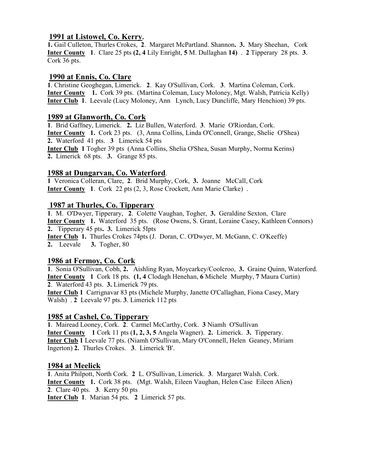### 1991 at Listowel, Co. Kerry.

1. Gail Culleton, Thurles Crokes, 2. Margaret McPartland. Shannon. 3. Mary Sheehan, Cork Inter County 1. Clare 25 pts (2, 4 Lily Enright, 5 M. Dullaghan 14) . 2 Tipperary 28 pts. 3. Cork 36 pts.

### 1990 at Ennis, Co. Clare

1. Christine Geoghegan, Limerick. 2. Kay O'Sullivan, Cork. 3. Martina Coleman, Cork. Inter County 1. Cork 39 pts. (Martina Coleman, Lucy Moloney, Mgt. Walsh, Patricia Kelly) Inter Club 1. Leevale (Lucy Moloney, Ann Lynch, Lucy Duncliffe, Mary Henchion) 39 pts.

#### 1989 at Glanworth, Co. Cork

1. Brid Gaffney, Limerick. 2. Liz Bullen, Waterford. 3. Marie O'Riordan, Cork. Inter County 1. Cork 23 pts. (3, Anna Collins, Linda O'Connell, Grange, Shelie O'Shea) 2. Waterford 41 pts. 3 Limerick 54 pts Inter Club 1 Togher 39 pts (Anna Collins, Shelia O'Shea, Susan Murphy, Norma Kerins) 2. Limerick 68 pts. 3. Grange 85 pts.

### 1988 at Dungarvan, Co. Waterford.

1 Veronica Colleran, Clare, 2. Brid Murphy, Cork, 3. Joanne McCall, Cork Inter County 1. Cork 22 pts (2, 3, Rose Crockett, Ann Marie Clarke) .

### 1987 at Thurles, Co. Tipperary

1. M. O'Dwyer, Tipperary, 2. Colette Vaughan, Togher, 3. Geraldine Sexton, Clare Inter County 1. Waterford 35 pts. (Rose Owens, S. Grant, Loraine Casey, Kathleen Connors) 2. Tipperary 45 pts. 3. Limerick 5Ipts Inter Club 1. Thurles Crokes 74pts (J. Doran, C. O'Dwyer, M. McGann, C. O'Keeffe) 2. Leevale 3. Togher, 80

### 1986 at Fermoy, Co. Cork

1. Sonia O'Sullivan, Cobh, 2. Aishling Ryan, Moycarkey/Coolcroo, 3. Graine Quinn, Waterford. Inter County 1 Cork 18 pts. (1, 4 Clodagh Henehan, 6 Michele Murphy, 7 Maura Curtin) 2. Waterford 43 pts. 3. Limerick 79 pts.

Inter Club 1 Carrignavar 83 pts (Michele Murphy, Janette O'Callaghan, Fiona Casey, Mary Walsh) . 2 Leevale 97 pts. 3. Limerick 112 pts

#### 1985 at Cashel, Co. Tipperary

1. Mairead Looney, Cork. 2. Carmel McCarthy, Cork. 3 Niamh O'Sullivan Inter County 1 Cork 11 pts (1, 2, 3, 5 Angela Wagner). 2. Limerick. 3. Tipperary. Inter Club 1 Leevale 77 pts. (Niamh O'Sullivan, Mary O'Connell, Helen Geaney, Miriam Ingerton) 2. Thurles Crokes. 3. Limerick 'B'.

#### 1984 at Meelick

1. Anita Philpott, North Cork. 2 L. O'Sullivan, Limerick. 3. Margaret Walsh. Cork. Inter County 1. Cork 38 pts. (Mgt. Walsh, Eileen Vaughan, Helen Case Eileen Alien) 2. Clare 40 pts. 3. Kerry 50 pts Inter Club 1. Marian 54 pts. 2 Limerick 57 pts.